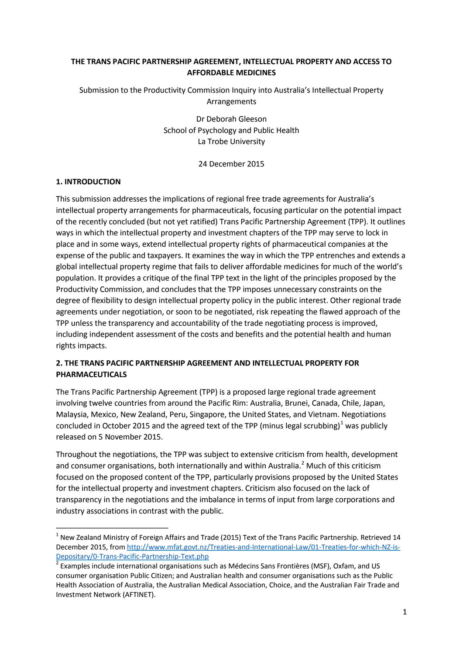## **THE TRANS PACIFIC PARTNERSHIP AGREEMENT, INTELLECTUAL PROPERTY AND ACCESS TO AFFORDABLE MEDICINES**

Submission to the Productivity Commission Inquiry into Australia's Intellectual Property Arrangements

> Dr Deborah Gleeson School of Psychology and Public Health La Trobe University

> > 24 December 2015

#### **1. INTRODUCTION**

This submission addresses the implications of regional free trade agreements for Australia's intellectual property arrangements for pharmaceuticals, focusing particular on the potential impact of the recently concluded (but not yet ratified) Trans Pacific Partnership Agreement (TPP). It outlines ways in which the intellectual property and investment chapters of the TPP may serve to lock in place and in some ways, extend intellectual property rights of pharmaceutical companies at the expense of the public and taxpayers. It examines the way in which the TPP entrenches and extends a global intellectual property regime that fails to deliver affordable medicines for much of the world's population. It provides a critique of the final TPP text in the light of the principles proposed by the Productivity Commission, and concludes that the TPP imposes unnecessary constraints on the degree of flexibility to design intellectual property policy in the public interest. Other regional trade agreements under negotiation, or soon to be negotiated, risk repeating the flawed approach of the TPP unless the transparency and accountability of the trade negotiating process is improved, including independent assessment of the costs and benefits and the potential health and human rights impacts.

## **2. THE TRANS PACIFIC PARTNERSHIP AGREEMENT AND INTELLECTUAL PROPERTY FOR PHARMACEUTICALS**

The Trans Pacific Partnership Agreement (TPP) is a proposed large regional trade agreement involving twelve countries from around the Pacific Rim: Australia, Brunei, Canada, Chile, Japan, Malaysia, Mexico, New Zealand, Peru, Singapore, the United States, and Vietnam. Negotiations concluded in October 20[1](#page-0-0)5 and the agreed text of the TPP (minus legal scrubbing)<sup>1</sup> was publicly released on 5 November 2015.

Throughout the negotiations, the TPP was subject to extensive criticism from health, development and consumer organisations, both internationally and within Australia.<sup>[2](#page-0-1)</sup> Much of this criticism focused on the proposed content of the TPP, particularly provisions proposed by the United States for the intellectual property and investment chapters. Criticism also focused on the lack of transparency in the negotiations and the imbalance in terms of input from large corporations and industry associations in contrast with the public.

<span id="page-0-2"></span><span id="page-0-0"></span> $1$  New Zealand Ministry of Foreign Affairs and Trade (2015) Text of the Trans Pacific Partnership. Retrieved 14 December 2015, fro[m http://www.mfat.govt.nz/Treaties-and-International-Law/01-Treaties-for-which-NZ-is-](http://www.mfat.govt.nz/Treaties-and-International-Law/01-Treaties-for-which-NZ-is-Depositary/0-Trans-Pacific-Partnership-Text.php)[Depositary/0-Trans-Pacific-Partnership-Text.php](http://www.mfat.govt.nz/Treaties-and-International-Law/01-Treaties-for-which-NZ-is-Depositary/0-Trans-Pacific-Partnership-Text.php)<br><sup>2</sup> Examples include international organisations such as Médecins Sans Frontières (MSF), Oxfam, and US

<span id="page-0-1"></span>consumer organisation Public Citizen; and Australian health and consumer organisations such as the Public Health Association of Australia, the Australian Medical Association, Choice, and the Australian Fair Trade and Investment Network (AFTINET).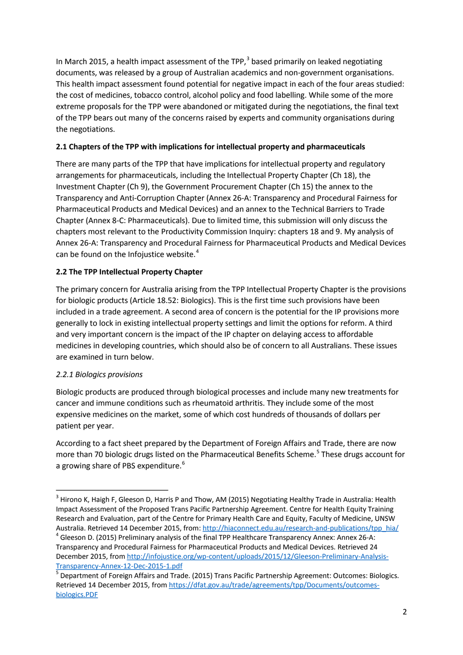In March 2015, a health impact assessment of the TPP, $3$  based primarily on leaked negotiating documents, was released by a group of Australian academics and non-government organisations. This health impact assessment found potential for negative impact in each of the four areas studied: the cost of medicines, tobacco control, alcohol policy and food labelling. While some of the more extreme proposals for the TPP were abandoned or mitigated during the negotiations, the final text of the TPP bears out many of the concerns raised by experts and community organisations during the negotiations.

## **2.1 Chapters of the TPP with implications for intellectual property and pharmaceuticals**

There are many parts of the TPP that have implications for intellectual property and regulatory arrangements for pharmaceuticals, including the Intellectual Property Chapter (Ch 18), the Investment Chapter (Ch 9), the Government Procurement Chapter (Ch 15) the annex to the Transparency and Anti-Corruption Chapter (Annex 26-A: Transparency and Procedural Fairness for Pharmaceutical Products and Medical Devices) and an annex to the Technical Barriers to Trade Chapter (Annex 8-C: Pharmaceuticals). Due to limited time, this submission will only discuss the chapters most relevant to the Productivity Commission Inquiry: chapters 18 and 9. My analysis of Annex 26-A: Transparency and Procedural Fairness for Pharmaceutical Products and Medical Devices can be found on the Infojustice website.<sup>[4](#page-1-0)</sup>

## **2.2 The TPP Intellectual Property Chapter**

The primary concern for Australia arising from the TPP Intellectual Property Chapter is the provisions for biologic products (Article 18.52: Biologics). This is the first time such provisions have been included in a trade agreement. A second area of concern is the potential for the IP provisions more generally to lock in existing intellectual property settings and limit the options for reform. A third and very important concern is the impact of the IP chapter on delaying access to affordable medicines in developing countries, which should also be of concern to all Australians. These issues are examined in turn below.

## <span id="page-1-2"></span>*2.2.1 Biologics provisions*

<span id="page-1-3"></span>Biologic products are produced through biological processes and include many new treatments for cancer and immune conditions such as rheumatoid arthritis. They include some of the most expensive medicines on the market, some of which cost hundreds of thousands of dollars per patient per year.

According to a fact sheet prepared by the Department of Foreign Affairs and Trade, there are now more than 70 biologic drugs listed on the Pharmaceutical Benefits Scheme.<sup>[5](#page-1-1)</sup> These drugs account for a growing share of PBS expenditure.<sup>[6](#page-1-2)</sup>

<sup>&</sup>lt;sup>3</sup> Hirono K, Haigh F, Gleeson D, Harris P and Thow, AM (2015) Negotiating Healthy Trade in Australia: Health Impact Assessment of the Proposed Trans Pacific Partnership Agreement. Centre for Health Equity Training Research and Evaluation, part of the Centre for Primary Health Care and Equity, Faculty of Medicine, UNSW

<span id="page-1-0"></span>Australia. Retrieved 14 December 2015, from[: http://hiaconnect.edu.au/research-and-publications/tpp\\_hia/](http://hiaconnect.edu.au/research-and-publications/tpp_hia/) 4 Gleeson D. (2015) Preliminary analysis of the final TPP Healthcare Transparency Annex: Annex 26-A: Transparency and Procedural Fairness for Pharmaceutical Products and Medical Devices. Retrieved 24 December 2015, fro[m http://infojustice.org/wp-content/uploads/2015/12/Gleeson-Preliminary-Analysis-](http://infojustice.org/wp-content/uploads/2015/12/Gleeson-Preliminary-Analysis-Transparency-Annex-12-Dec-2015-1.pdf)

<span id="page-1-1"></span>[Transparency-Annex-12-Dec-2015-1.pdf](http://infojustice.org/wp-content/uploads/2015/12/Gleeson-Preliminary-Analysis-Transparency-Annex-12-Dec-2015-1.pdf)<br>
<sup>5</sup> Department of Foreign Affairs and Trade. (2015) Trans Pacific Partnership Agreement: Outcomes: Biologics. Retrieved 14 December 2015, from [https://dfat.gov.au/trade/agreements/tpp/Documents/outcomes](https://dfat.gov.au/trade/agreements/tpp/Documents/outcomes-biologics.PDF)[biologics.PDF](https://dfat.gov.au/trade/agreements/tpp/Documents/outcomes-biologics.PDF)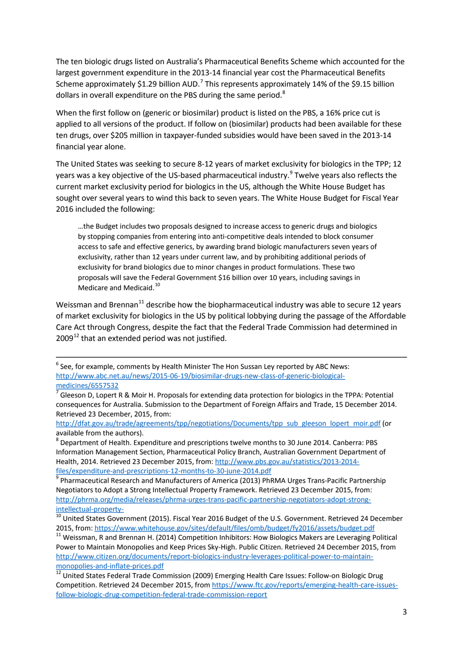<span id="page-2-0"></span>The ten biologic drugs listed on Australia's Pharmaceutical Benefits Scheme which accounted for the largest government expenditure in the 2013-14 financial year cost the Pharmaceutical Benefits Scheme approximately \$1.29 billion AUD.<sup>[7](#page-1-3)</sup> This represents approximately 14% of the \$9.15 billion dollars in overall expenditure on the PBS during the same period.<sup>[8](#page-2-1)</sup>

When the first follow on (generic or biosimilar) product is listed on the PBS, a 16% price cut is applied to all versions of the product. If follow on (biosimilar) products had been available for these ten drugs, over \$205 million in taxpayer-funded subsidies would have been saved in the 2013-14 financial year alone[.](#page-2-0)

The United States was seeking to secure 8-12 years of market exclusivity for biologics in the TPP; 12 years was a key objective of the US-based pharmaceutical industry.<sup>[9](#page-2-2)</sup> Twelve years also reflects the current market exclusivity period for biologics in the US, although the White House Budget has sought over several years to wind this back to seven years. The White House Budget for Fiscal Year 2016 included the following:

…the Budget includes two proposals designed to increase access to generic drugs and biologics by stopping companies from entering into anti-competitive deals intended to block consumer access to safe and effective generics, by awarding brand biologic manufacturers seven years of exclusivity, rather than 12 years under current law, and by prohibiting additional periods of exclusivity for brand biologics due to minor changes in product formulations. These two proposals will save the Federal Government \$16 billion over 10 years, including savings in Medicare and Medicaid.<sup>[10](#page-2-3)</sup>

Weissman and Brennan<sup>[11](#page-2-4)</sup> describe how the biopharmaceutical industry was able to secure 12 years of market exclusivity for biologics in the US by political lobbying during the passage of the Affordable Care Act through Congress, despite the fact that the Federal Trade Commission had determined in  $2009^{12}$  $2009^{12}$  $2009^{12}$  that an extended period was not justified.

 $6$  See, for example, comments by Health Minister The Hon Sussan Ley reported by ABC News: [http://www.abc.net.au/news/2015-06-19/biosimilar-drugs-new-class-of-generic-biological](http://www.abc.net.au/news/2015-06-19/biosimilar-drugs-new-class-of-generic-biological-medicines/6557532)[medicines/6557532](http://www.abc.net.au/news/2015-06-19/biosimilar-drugs-new-class-of-generic-biological-medicines/6557532)

 $^7$  Gleeson D, Lopert R & Moir H. Proposals for extending data protection for biologics in the TPPA: Potential consequences for Australia. Submission to the Department of Foreign Affairs and Trade, 15 December 2014. Retrieved 23 December, 2015, from:

[http://dfat.gov.au/trade/agreements/tpp/negotiations/Documents/tpp\\_sub\\_gleeson\\_lopert\\_moir.pdf](http://dfat.gov.au/trade/agreements/tpp/negotiations/Documents/tpp_sub_gleeson_lopert_moir.pdf) (or available from the authors).<br><sup>8</sup> Department of Health. Expenditure and prescriptions twelve months to 30 June 2014. Canberra: PBS

<span id="page-2-1"></span>Information Management Section, Pharmaceutical Policy Branch, Australian Government Department of Health, 2014. Retrieved 23 December 2015, from: [http://www.pbs.gov.au/statistics/2013-2014-](http://www.pbs.gov.au/statistics/2013-2014-files/expenditure-and-prescriptions-12-months-to-30-june-2014.pdf)

<span id="page-2-2"></span>[files/expenditure-and-prescriptions-12-months-to-30-june-2014.pdf](http://www.pbs.gov.au/statistics/2013-2014-files/expenditure-and-prescriptions-12-months-to-30-june-2014.pdf) <sup>9</sup> Pharmaceutical Research and Manufacturers of America (2013) PhRMA Urges Trans-Pacific Partnership Negotiators to Adopt a Strong Intellectual Property Framework. Retrieved 23 December 2015, from: [http://phrma.org/media/releases/phrma-urges-trans-pacific-partnership-negotiators-adopt-strong-](http://phrma.org/media/releases/phrma-urges-trans-pacific-partnership-negotiators-adopt-strong-intellectual-property-)

<span id="page-2-3"></span>[intellectual-property-](http://phrma.org/media/releases/phrma-urges-trans-pacific-partnership-negotiators-adopt-strong-intellectual-property-)<br><sup>10</sup> United States Government (2015). Fiscal Year 2016 Budget of the U.S. Government. Retrieved 24 December 2015, from:<https://www.whitehouse.gov/sites/default/files/omb/budget/fy2016/assets/budget.pdf> 11 Weissman, R and Brennan H. (2014) Competition Inhibitors: How Biologics Makers are Leveraging Political

<span id="page-2-6"></span><span id="page-2-4"></span>Power to Maintain Monopolies and Keep Prices Sky-High. Public Citizen. Retrieved 24 December 2015, from [http://www.citizen.org/documents/report-biologics-industry-leverages-political-power-to-maintain-](http://www.citizen.org/documents/report-biologics-industry-leverages-political-power-to-maintain-monopolies-and-inflate-prices.pdf)

<span id="page-2-5"></span>[monopolies-and-inflate-prices.pdf](http://www.citizen.org/documents/report-biologics-industry-leverages-political-power-to-maintain-monopolies-and-inflate-prices.pdf)<br><sup>12</sup> United States Federal Trade Commission (2009) Emerging Health Care Issues: Follow-on Biologic Drug Competition. Retrieved 24 December 2015, fro[m https://www.ftc.gov/reports/emerging-health-care-issues](https://www.ftc.gov/reports/emerging-health-care-issues-follow-biologic-drug-competition-federal-trade-commission-report)[follow-biologic-drug-competition-federal-trade-commission-report](https://www.ftc.gov/reports/emerging-health-care-issues-follow-biologic-drug-competition-federal-trade-commission-report)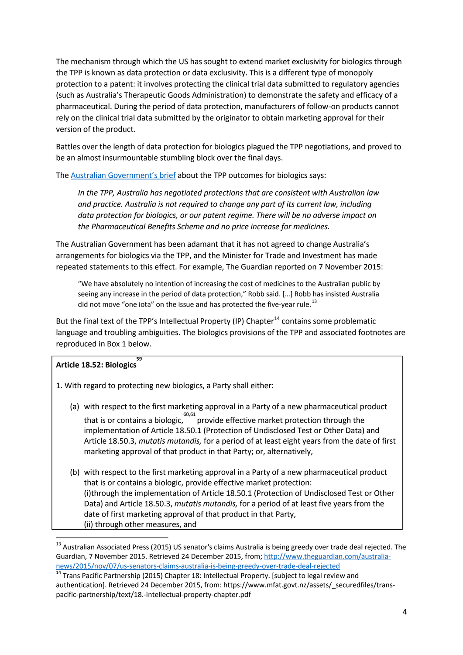The mechanism through which the US has sought to extend market exclusivity for biologics through the TPP is known as data protection or data exclusivity. This is a different type of monopoly protection to a patent: it involves protecting the clinical trial data submitted to regulatory agencies (such as Australia's Therapeutic Goods Administration) to demonstrate the safety and efficacy of a pharmaceutical. During the period of data protection, manufacturers of follow-on products cannot rely on the clinical trial data submitted by the originator to obtain marketing approval for their version of the product.

Battles over the length of data protection for biologics plagued the TPP negotiations, and proved to be an almost insurmountable stumbling block over the final days.

The [Australian Government's brief](http://dfat.gov.au/trade/agreements/tpp/Documents/outcomes-biologics.PDF) about the TPP outcomes for biologics says:

*In the TPP, Australia has negotiated protections that are consistent with Australian law and practice. Australia is not required to change any part of its current law, including data protection for biologics, or our patent regime. There will be no adverse impact on the Pharmaceutical Benefits Scheme and no price increase for medicines.*

The Australian Government has been adamant that it has not agreed to change Australia's arrangements for biologics via the TPP, and the Minister for Trade and Investment has made repeated statements to this effect. For example, The Guardian reported on 7 November 2015:

<span id="page-3-1"></span>"We have absolutely no intention of increasing the cost of medicines to the Australian public by seeing any increase in the period of data protection," Robb said. […] Robb has insisted Australia did not move "one iota" on the issue and has protected the five-year rule.<sup>[13](#page-2-6)</sup>

But the final text of the TPP's Intellectual Property (IP) Chapter<sup>[14](#page-3-0)</sup> contains some problematic language and troubling ambiguities. The biologics provisions of the TPP and associated footnotes are reproduced in Box 1 below.

# **Article 18.52: Biologics 59**

1. With regard to protecting new biologics, a Party shall either:

- (a) with respect to the first marketing approval in a Party of a new pharmaceutical product that is or contains a biologic, 60,61 provide effective market protection through the implementation of Article 18.50.1 (Protection of Undisclosed Test or Other Data) and Article 18.50.3, *mutatis mutandis,* for a period of at least eight years from the date of first marketing approval of that product in that Party; or, alternatively,
- <span id="page-3-2"></span>(b) with respect to the first marketing approval in a Party of a new pharmaceutical product that is or contains a biologic, provide effective market protection: (i)through the implementation of Article 18.50.1 (Protection of Undisclosed Test or Other Data) and Article 18.50.3, *mutatis mutandis,* for a period of at least five years from the date of first marketing approval of that product in that Party, (ii) through other measures, and

<sup>&</sup>lt;sup>13</sup> Australian Associated Press (2015) US senator's claims Australia is being greedy over trade deal rejected. The Guardian, 7 November 2015. Retrieved 24 December 2015, from[; http://www.theguardian.com/australia](http://www.theguardian.com/australia-news/2015/nov/07/us-senators-claims-australia-is-being-greedy-over-trade-deal-rejected)[news/2015/nov/07/us-senators-claims-australia-is-being-greedy-over-trade-deal-rejected](http://www.theguardian.com/australia-news/2015/nov/07/us-senators-claims-australia-is-being-greedy-over-trade-deal-rejected)<br><sup>14</sup> Trans Pacific Partnership (2015) Chapter 18: Intellectual Property. [subject to legal review and

<span id="page-3-0"></span>authentication]. Retrieved 24 December 2015, from: https://www.mfat.govt.nz/assets/\_securedfiles/transpacific-partnership/text/18.-intellectual-property-chapter.pdf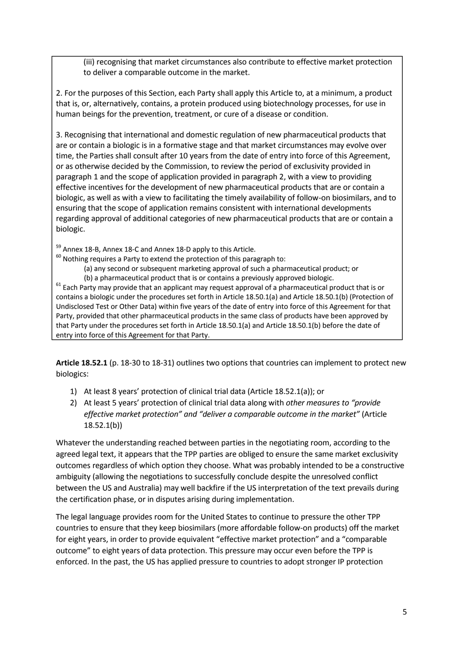(iii) recognising that market circumstances also contribute to effective market protection to deliver a comparable outcome in the market.

2. For the purposes of this Section, each Party shall apply this Article to, at a minimum, a product that is, or, alternatively, contains, a protein produced using biotechnology processes, for use in human beings for the prevention, treatment, or cure of a disease or condition.

3. Recognising that international and domestic regulation of new pharmaceutical products that are or contain a biologic is in a formative stage and that market circumstances may evolve over time, the Parties shall consult after 10 years from the date of entry into force of this Agreement, or as otherwise decided by the Commission, to review the period of exclusivity provided in paragraph 1 and the scope of application provided in paragraph 2, with a view to providing effective incentives for the development of new pharmaceutical products that are or contain a biologic, as well as with a view to facilitating the timely availability of follow-on biosimilars, and to ensuring that the scope of application remains consistent with international developments regarding approval of additional categories of new pharmaceutical products that are or contain a biologic.

 $59$  Annex 18-B, Annex 18-C and Annex 18-D apply to this Article.<br><sup>60</sup> Nothing requires a Party to extend the protection of this paragraph to:

(a) any second or subsequent marketing approval of such a pharmaceutical product; or

(b) a pharmaceutical product that is or contains a previously approved biologic.<br><sup>61</sup> Each Party may provide that an applicant may request approval of a pharmaceutical product that is or contains a biologic under the procedures set forth in Article 18.50.1(a) and Article 18.50.1(b) (Protection of Undisclosed Test or Other Data) within five years of the date of entry into force of this Agreement for that Party, provided that other pharmaceutical products in the same class of products have been approved by that Party under the procedures set forth in Article 18.50.1(a) and Article 18.50.1(b) before the date of entry into force of this Agreement for that Party.

**Article 18.52.1** (p. 18-30 to 18-31) outlines two options that countries can implement to protect new biologics:

- 1) At least 8 years' protection of clinical trial data (Article 18.52.1(a)); or
- 2) At least 5 years' protection of clinical trial data along with *other measures to "provide effective market protection" and "deliver a comparable outcome in the market"* (Article 18.52.1(b))

Whatever the understanding reached between parties in the negotiating room, according to the agreed legal text, it appears that the TPP parties are obliged to ensure the same market exclusivity outcomes regardless of which option they choose. What was probably intended to be a constructive ambiguity (allowing the negotiations to successfully conclude despite the unresolved conflict between the US and Australia) may well backfire if the US interpretation of the text prevails during the certification phase, or in disputes arising during implementation.

The legal language provides room for the United States to continue to pressure the other TPP countries to ensure that they keep biosimilars (more affordable follow-on products) off the market for eight years, in order to provide equivalent "effective market protection" and a "comparable outcome" to eight years of data protection. This pressure may occur even before the TPP is enforced. In the past, the US has applied pressure to countries to adopt stronger IP protection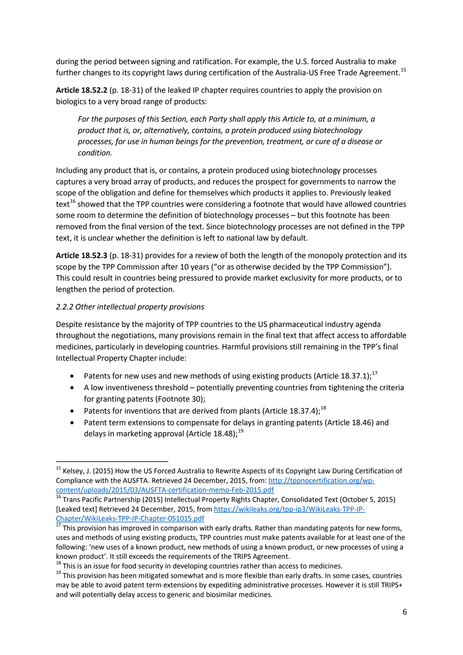during the period between signing and ratification. For example, the U.S. forced Australia to make further changes to its copyright laws during certification of the Australia-US Free Trade Agreement.<sup>[15](#page-3-2)</sup>

**Article 18.52.2** (p. 18-31) of the leaked IP chapter requires countries to apply the provision on biologics to a very broad range of products:

*For the purposes of this Section, each Party shall apply this Article to, at a minimum, a product that is, or, alternatively, contains, a protein produced using biotechnology processes, for use in human beings for the prevention, treatment, or cure of a disease or condition.*

Including any product that is, or contains, a protein produced using biotechnology processes captures a very broad array of products, and reduces the prospect for governments to narrow the scope of the obligation and define for themselves which products it applies to. Previously leaked text<sup>[16](#page-5-0)</sup> showed that the TPP countries were considering a footnote that would have allowed countries some room to determine the definition of biotechnology processes – but this footnote has been removed from the final version of the text. Since biotechnology processes are not defined in the TPP text, it is unclear whether the definition is left to national law by default.

**Article 18.52.3** (p. 18-31) provides for a review of both the length of the monopoly protection and its scope by the TPP Commission after 10 years ("or as otherwise decided by the TPP Commission"). This could result in countries being pressured to provide market exclusivity for more products, or to lengthen the period of protection.

## *2.2.2 Other intellectual property provisions*

Despite resistance by the majority of TPP countries to the US pharmaceutical industry agenda throughout the negotiations, many provisions remain in the final text that affect access to affordable medicines, particularly in developing countries. Harmful provisions still remaining in the TPP's final Intellectual Property Chapte[r](#page-3-1) include:

- Patents for new uses and new methods of using existing products (Article 18.37.1);<sup>[17](#page-5-1)</sup>
- A low inventiveness threshold potentially preventing countries from tightening the criteria for granting patents (Footnote 30);
- Patents for inventions that are derived from plants (Article [18](#page-5-2).37.4);<sup>18</sup>
- Patent term extensions to compensate for delays in granting patents (Article 18.46) and delays in marketing approval (Article 18.48);<sup>[19](#page-5-3)</sup>

<span id="page-5-4"></span><sup>&</sup>lt;sup>15</sup> Kelsey, J. (2015) How the US Forced Australia to Rewrite Aspects of its Copyright Law During Certification of Compliance with the AUSFTA. Retrieved 24 December, 2015, from: http://tppnocertification.org/wp-<br>content/uploads/2015/03/AUSFTA-certification-memo-Feb-2015.pdf

<span id="page-5-0"></span> $\frac{16}{16}$  Trans Pacific Partnership (2015) Intellectual Property Rights Chapter, Consolidated Text (October 5, 2015) [Leaked text] Retrieved 24 December, 2015, from [https://wikileaks.org/tpp-ip3/WikiLeaks-TPP-IP-](https://wikileaks.org/tpp-ip3/WikiLeaks-TPP-IP-Chapter/WikiLeaks-TPP-IP-Chapter-051015.pdf)[Chapter/WikiLeaks-TPP-IP-Chapter-051015.pdf](https://wikileaks.org/tpp-ip3/WikiLeaks-TPP-IP-Chapter/WikiLeaks-TPP-IP-Chapter-051015.pdf)<br><sup>17</sup> This provision has improved in comparison with early drafts. Rather than mandating patents for new forms,

<span id="page-5-1"></span>uses and methods of using existing products, TPP countries must make patents available for at least one of the following: 'new uses of a known product, new methods of using a known product, or new processes of using a known product'. It still exceeds the requirements of the TRIPS Agreement.<br><sup>18</sup> This is an issue for food security in developing countries rather than access to medicines.

<span id="page-5-3"></span><span id="page-5-2"></span><sup>&</sup>lt;sup>19</sup> This provision has been mitigated somewhat and is more flexible than early drafts. In some cases, countries may be able to avoid patent term extensions by expediting administrative processes. However it is still TRIPS+ and will potentially delay access to generic and biosimilar medicines.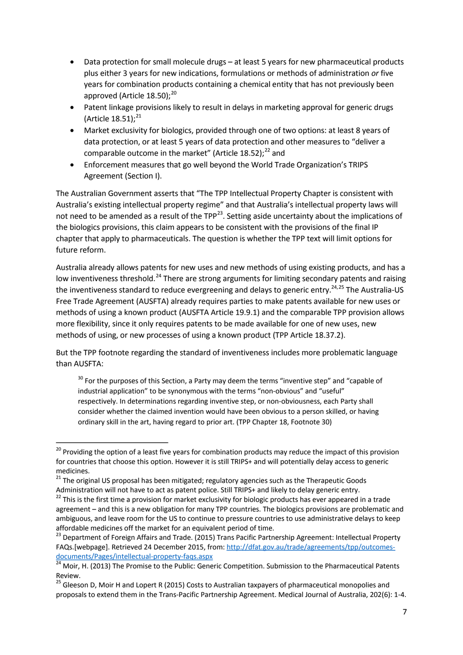- Data protection for small molecule drugs at least 5 years for new pharmaceutical products plus either 3 years for new indications, formulations or methods of administration *or* five years for combination products containing a chemical entity that has not previously been approved (Article  $18.50$ );<sup>[20](#page-5-4)</sup>
- Patent linkage provisions likely to result in delays in marketing approval for generic drugs (Article  $18.51$ ); $^{21}$  $^{21}$  $^{21}$
- Market exclusivity for biologics, provided through one of two options: at least 8 years of data protection, or at least 5 years of data protection and other measures to "deliver a comparable outcome in the market" (Article 18.52); $^{22}$  $^{22}$  $^{22}$  and
- Enforcement measures that go well beyond the World Trade Organization's TRIPS Agreement (Section I).

The Australian Government asserts that "The TPP Intellectual Property Chapter is consistent with Australia's existing intellectual property regime" and that Australia's intellectual property laws will not need to be amended as a result of the TPP<sup>[23](#page-6-3)</sup>. Setting aside uncertainty about the implications of the biologics provisions, this claim appears to be consistent with the provisions of the final IP chapter that apply to pharmaceuticals. The question is whether the TPP text will limit options for future reform.

<span id="page-6-0"></span>Australia already allows patents for new uses and new methods of using existing products, and has a low inventiveness threshold.<sup>[24](#page-6-4)</sup> There are strong arguments for limiting secondary patents and raising the inventiveness standard to reduce evergreening and delays to generic entry.<sup>[24,](#page-6-0)[25](#page-6-5)</sup> The Australia-US Free Trade Agreement (AUSFTA) already requires parties to make patents available for new uses or methods of using a known product (AUSFTA Article 19.9.1) and the comparable TPP provision allows more flexibility, since it only requires patents to be made available for one of new uses, new methods of using, or new processes of using a known product (TPP Article 18.37.2).

But the TPP footnote regarding the standard of inventiveness includes more problematic language than AUSFTA:

 $30$  For the purposes of this Section, a Party may deem the terms "inventive step" and "capable of industrial application" to be synonymous with the terms "non-obvious" and "useful" respectively. In determinations regarding inventive step, or non-obviousness, each Party shall consider whether the claimed invention would have been obvious to a person skilled, or having ordinary skill in the art, having regard to prior art. (TPP Chapter 18, Footnote 30)

<sup>&</sup>lt;sup>20</sup> Providing the option of a least five years for combination products may reduce the impact of this provision for countries that choose this option. However it is still TRIPS+ and will potentially delay access to generic medicines.

<span id="page-6-1"></span><sup>&</sup>lt;sup>21</sup> The original US proposal has been mitigated; regulatory agencies such as the Therapeutic Goods Administration will not have to act as patent police. Still TRIPS+ and likely to delay generic entry.

<span id="page-6-2"></span> $22$  This is the first time a provision for market exclusivity for biologic products has ever appeared in a trade agreement – and this is a new obligation for many TPP countries. The biologics provisions are problematic and ambiguous, and leave room for the US to continue to pressure countries to use administrative delays to keep affordable medicines off the market for an equivalent period of time.

<span id="page-6-6"></span><span id="page-6-3"></span><sup>&</sup>lt;sup>23</sup> Department of Foreign Affairs and Trade. (2015) Trans Pacific Partnership Agreement: Intellectual Property FAQs.[webpage]. Retrieved 24 December 2015, from[: http://dfat.gov.au/trade/agreements/tpp/outcomes](http://dfat.gov.au/trade/agreements/tpp/outcomes-documents/Pages/intellectual-property-faqs.aspx)[documents/Pages/intellectual-property-faqs.aspx](http://dfat.gov.au/trade/agreements/tpp/outcomes-documents/Pages/intellectual-property-faqs.aspx)<br><sup>24</sup> Moir, H. (2013) The Promise to the Public: Generic Competition. Submission to the Pharmaceutical Patents

<span id="page-6-4"></span>Review.

<span id="page-6-5"></span><sup>&</sup>lt;sup>25</sup> Gleeson D, Moir H and Lopert R (2015) Costs to Australian taxpayers of pharmaceutical monopolies and proposals to extend them in the Trans-Pacific Partnership Agreement. Medical Journal of Australia, 202(6): 1-4.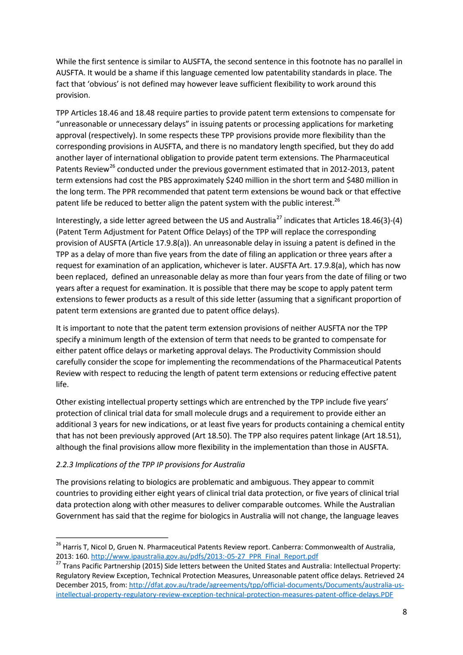While the first sentence is similar to AUSFTA, the second sentence in this footnote has no parallel in AUSFTA. It would be a shame if this language cemented low patentability standards in place. The fact that 'obvious' is not defined may however leave sufficient flexibility to work around this provision.

TPP Articles 18.46 and 18.48 require parties to provide patent term extensions to compensate for "unreasonable or unnecessary delays" in issuing patents or processing applications for marketing approval (respectively). In some respects these TPP provisions provide more flexibility than the corresponding provisions in AUSFTA, and there is no mandatory length specified, but they do add another layer of international obligation to provide patent term extensions. The Pharmaceutical Patents Review<sup>[26](#page-6-6)</sup> conducted under the previous government estimated that in 2012-2013, patent term extensions had cost the PBS approximately \$240 million in the short term and \$480 million in the long term. The PPR recommended that patent term extensions be wound back or that effective patent life be reduced to better align the patent system with the public interest.<sup>26</sup>

<span id="page-7-0"></span>Interestingly, a side letter agreed between the US and Australia<sup>[27](#page-7-1)</sup> indicates that Articles 18.46(3)-(4) (Patent Term Adjustment for Patent Office Delays) of the TPP will replace the corresponding provision of AUSFTA (Article 17.9.8(a)). An unreasonable delay in issuing a patent is defined in the TPP as a delay of more than five years from the date of filing an application or three years after a request for examination of an application, whichever is later. AUSFTA Art. 17.9.8(a), which has now been replaced, defined an unreasonable delay as more than four years from the date of filing or two years after a request for examination. It is possible that there may be scope to apply patent term extensions to fewer products as a result of this side letter (assuming that a significant proportion of patent term extensions are granted due to patent office delays).

It is important to note that the patent term extension provisions of neither AUSFTA nor the TPP specify a minimum length of the extension of term that needs to be granted to compensate for either patent office delays or marketing approval delays. The Productivity Commission should carefully consider the scope for implementing the recommendations of the Pharmaceutical Patents Review with respect to reducing the length of patent term extensions or reducing effective patent life.

Other existing intellectual property settings which are entrenched by the TPP include five years' protection of clinical trial data for small molecule drugs and a requirement to provide either an additional 3 years for new indications, or at least five years for products containing a chemical entity that has not been previously approved (Art 18.50). The TPP also requires patent linkage (Art 18.51), although the final provisions allow more flexibility in the implementation than those in AUSFTA.

## *2.2.3 Implications of the TPP IP provisions for Australia*

The provisions relating to biologics are problematic and ambiguous. They appear to commit countries to providing either eight years of clinical trial data protection, or five years of clinical trial data protection along with other measures to deliver comparable outcomes. While the Australian Government has said that the regime for biologics in Australia will not change, the language leaves

<span id="page-7-2"></span><sup>&</sup>lt;sup>26</sup> Harris T, Nicol D, Gruen N. Pharmaceutical Patents Review report. Canberra: Commonwealth of Australia, 2013: 160. [http://www.ipaustralia.gov.au/pdfs/2013:-05-27\\_PPR\\_Final\\_Report.pdf](http://www.ipaustralia.gov.au/pdfs/2013:-05-27_PPR_Final_Report.pdf)<br><sup>27</sup> Trans Pacific Partnership (2015) Side letters between the United States and Australia: Intellectual Property:

<span id="page-7-1"></span>Regulatory Review Exception, Technical Protection Measures, Unreasonable patent office delays. Retrieved 24 December 2015, from: [http://dfat.gov.au/trade/agreements/tpp/official-documents/Documents/australia-us](http://dfat.gov.au/trade/agreements/tpp/official-documents/Documents/australia-us-intellectual-property-regulatory-review-exception-technical-protection-measures-patent-office-delays.PDF)[intellectual-property-regulatory-review-exception-technical-protection-measures-patent-office-delays.PDF](http://dfat.gov.au/trade/agreements/tpp/official-documents/Documents/australia-us-intellectual-property-regulatory-review-exception-technical-protection-measures-patent-office-delays.PDF)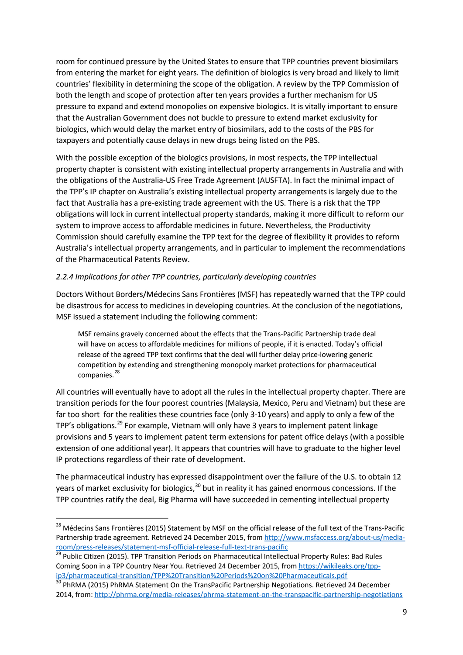room for continued pressure by the United States to ensure that TPP countries prevent biosimilars from entering the market for eight years. The definition of biologics is very broad and likely to limit countries' flexibility in determining the scope of the obligation. A review by the TPP Commission of both the length and scope of protection after ten years provides a further mechanism for US pressure to expand and extend monopolies on expensive biologics. It is vitally important to ensure that the Australian Government does not buckle to pressure to extend market exclusivity for biologics, which would delay the market entry of biosimilars, add to the costs of the PBS for taxpayers and potentially cause delays in new drugs being listed on the PBS.

With the possible exception of the biologics provisions, in most respects, the TPP intellectual property chapter is consistent with existing intellectual property arrangements in Australia and with the obligations of the Australia-US Free Trade Agreement (AUSFTA). In fact the minimal impact of the TPP's IP chapter on Australia's existing intellectual property arrangements is largely due to the fact that Australia has a pre-existing trade agreement with the US. There is a risk that the TPP obligations will lock in current intellectual property standards, making it more difficult to reform our system to improve access to affordable medicines in future. Nevertheless, the Productivity Commission should carefully examine the TPP text for the degree of flexibility it provides to reform Australia's intellectual property arrangements, and in particular to implement the recommendations of the Pharmaceutical Patents Review.

#### *2.2.4 Implications for other TPP countries, particularly developing countries*

Doctors Without Borders/Médecins Sans Frontières (MSF) has repeatedly warned that the TPP could be disastrous for access to medicines in developing countries. At the conclusion of the negotiations, MSF issued a statement including the following comment:

MSF remains gravely concerned about the effects that the Trans-Pacific Partnership trade deal will have on access to affordable medicines for millions of people, if it is enacted. Today's official release of the agreed TPP text confirms that the deal will further delay price-lowering generic competition by extending and strengthening monopoly market protections for pharmaceutical companies.<sup>[28](#page-7-2)</sup>

All countries will eventually have to adopt all the rules in the intellectual property chapter. There are transition periods for the four poorest countries (Malaysia, Mexico, Peru and Vietnam) but these are far too short for the realities these countries face (only 3-10 years) and apply to only a few of the TPP's obligations.<sup>[29](#page-8-0)</sup> For example, Vietnam will only have 3 years to implement patent linkage provisions and 5 years to implement patent term extensions for patent office delays (with a possible extension of one additional year). It appears that countries will have to graduate to the higher level IP protections regardless of their rate of development.

<span id="page-8-2"></span>The pharmaceutical industry has expressed disappointment over the failure of the U.S. to obtain 12 years of market exclusivity for biologics,<sup>[30](#page-8-1)</sup> but in reality it has gained enormous concessions. If the TPP countries ratify the deal, Big Pharma will have succeeded in cementing intellectual property

<sup>&</sup>lt;sup>28</sup> Médecins Sans Frontières (2015) Statement by MSF on the official release of the full text of the Trans-Pacific Partnership trade agreement. Retrieved 24 December 2015, from [http://www.msfaccess.org/about-us/media](http://www.msfaccess.org/about-us/media-room/press-releases/statement-msf-official-release-full-text-trans-pacific)[room/press-releases/statement-msf-official-release-full-text-trans-pacific](http://www.msfaccess.org/about-us/media-room/press-releases/statement-msf-official-release-full-text-trans-pacific) <sup>29</sup> Public Citizen (2015). TPP Transition Periods on Pharmaceutical Intellectual Property Rules: Bad Rules

<span id="page-8-0"></span>Coming Soon in a TPP Country Near You. Retrieved 24 December 2015, from [https://wikileaks.org/tpp](https://wikileaks.org/tpp-ip3/pharmaceutical-transition/TPP%20Transition%20Periods%20on%20Pharmaceuticals.pdf)[ip3/pharmaceutical-transition/TPP%20Transition%20Periods%20on%20Pharmaceuticals.pdf](https://wikileaks.org/tpp-ip3/pharmaceutical-transition/TPP%20Transition%20Periods%20on%20Pharmaceuticals.pdf)<br><sup>30</sup> PhRMA (2015) PhRMA Statement On the TransPacific Partnership Negotiations. Retrieved 24 December

<span id="page-8-1"></span><sup>2014,</sup> from:<http://phrma.org/media-releases/phrma-statement-on-the-transpacific-partnership-negotiations>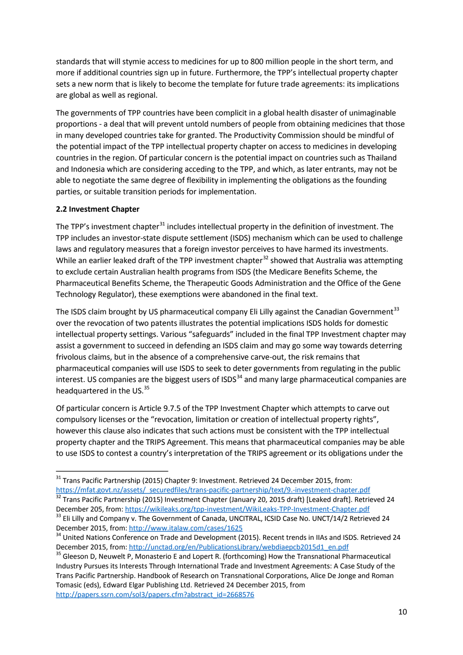standards that will stymie access to medicines for up to 800 million people in the short term, and more if additional countries sign up in future. Furthermore, the TPP's intellectual property chapter sets a new norm that is likely to become the template for future trade agreements: its implications are global as well as regional.

The governments of TPP countries have been complicit in a global health disaster of unimaginable proportions - a deal that will prevent untold numbers of people from obtaining medicines that those in many developed countries take for granted. The Productivity Commission should be mindful of the potential impact of the TPP intellectual property chapter on access to medicines in developing countries in the region. Of particular concern is the potential impact on countries such as Thailand and Indonesia which are considering acceding to the TPP, and which, as later entrants, may not be able to negotiate the same degree of flexibility in implementing the obligations as the founding parties, or suitable transition periods for implementation.

## **2.2 Investment Chapter**

The TPP's investment chapter<sup>[31](#page-8-2)</sup> includes intellectual property in the definition of investment. The TPP includes an investor-state dispute settlement (ISDS) mechanism which can be used to challenge laws and regulatory measures that a foreign investor perceives to have harmed its investments. While an earlier leaked draft of the TPP investment chapter<sup>[32](#page-9-0)</sup> showed that Australia was attempting to exclude certain Australian health programs from ISDS (the Medicare Benefits Scheme, the Pharmaceutical Benefits Scheme, the Therapeutic Goods Administration and the Office of the Gene Technology Regulator), these exemptions were abandoned in the final text.

The ISDS claim brought by US pharmaceutical company Eli Lilly against the Canadian Government<sup>[33](#page-9-1)</sup> over the revocation of two patents illustrates the potential implications ISDS holds for domestic intellectual property settings. Various "safeguards" included in the final TPP Investment chapter may assist a government to succeed in defending an ISDS claim and may go some way towards deterring frivolous claims, but in the absence of a comprehensive carve-out, the risk remains that pharmaceutical companies will use ISDS to seek to deter governments from regulating in the public interest. US companies are the biggest users of  $ISDS<sup>34</sup>$  $ISDS<sup>34</sup>$  $ISDS<sup>34</sup>$  and many large pharmaceutical companies are headquartered in the US.<sup>[35](#page-9-3)</sup>

Of particular concern is Article 9.7.5 of the TPP Investment Chapter which attempts to carve out compulsory licenses or the "revocation, limitation or creation of intellectual property rights", however this clause also indicates that such actions must be consistent with the TPP intellectual property chapter and the TRIPS Agreement. This means that pharmaceutical companies may be able to use ISDS to contest a country's interpretation of the TRIPS agreement or its obligations under the

<span id="page-9-4"></span> $31$  Trans Pacific Partnership (2015) Chapter 9: Investment. Retrieved 24 December 2015, from:<br>https://mfat.govt.nz/assets/ securedfiles/trans-pacific-partnership/text/9.-investment-chapter.pdf

<span id="page-9-0"></span> $\frac{32}{32}$  Trans Pacific Partnership (2015) Investment Chapter (January 20, 2015 draft) [Leaked draft]. Retrieved 24

<span id="page-9-1"></span>December 205, from:<https://wikileaks.org/tpp-investment/WikiLeaks-TPP-Investment-Chapter.pdf> 33 Eli Lilly and Company v. The Government of Canada, UNCITRAL, ICSID Case No. UNCT/14/2 Retrieved 24 December 2015, from:<http://www.italaw.com/cases/1625><br><sup>34</sup> United Nations Conference on Trade and Development (2015). Recent trends in IIAs and ISDS. Retrieved 24

<span id="page-9-2"></span>

<span id="page-9-3"></span>December 2015, from: [http://unctad.org/en/PublicationsLibrary/webdiaepcb2015d1\\_en.pdf](http://unctad.org/en/PublicationsLibrary/webdiaepcb2015d1_en.pdf) 35 Gleeson D, Neuwelt P, Monasterio E and Lopert R. (forthcoming) How the Transnational Pharmaceutical Industry Pursues its Interests Through International Trade and Investment Agreements: A Case Study of the Trans Pacific Partnership. Handbook of Research on Transnational Corporations, Alice De Jonge and Roman Tomasic (eds), Edward Elgar Publishing Ltd. Retrieved 24 December 2015, from [http://papers.ssrn.com/sol3/papers.cfm?abstract\\_id=2668576](http://papers.ssrn.com/sol3/papers.cfm?abstract_id=2668576)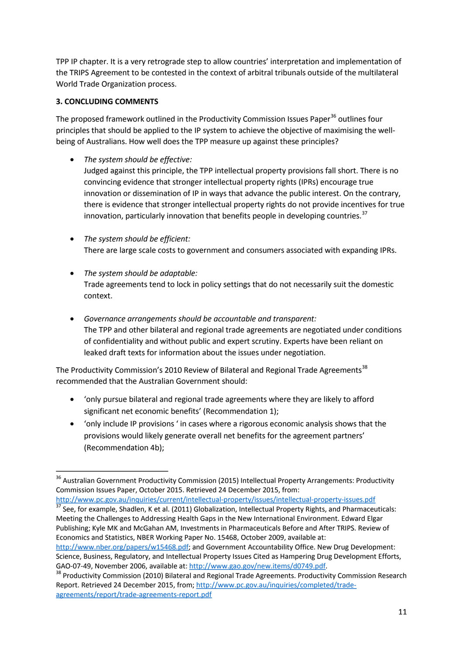TPP IP chapter. It is a very retrograde step to allow countries' interpretation and implementation of the TRIPS Agreement to be contested in the context of arbitral tribunals outside of the multilateral World Trade Organization process.

# **3. CONCLUDING COMMENTS**

The proposed framework outlined in the Productivity Commission Issues Paper<sup>[36](#page-9-4)</sup> outlines four principles that should be applied to the IP system to achieve the objective of maximising the wellbeing of Australians. How well does the TPP measure up against these principles?

- *The system should be effective:* Judged against this principle, the TPP intellectual property provisions fall short. There is no convincing evidence that stronger intellectual property rights (IPRs) encourage true innovation or dissemination of IP in ways that advance the public interest. On the contrary, there is evidence that stronger intellectual property rights do not provide incentives for true innovation, particularly innovation that benefits people in developing countries. $37$
- *The system should be efficient:* There are large scale costs to government and consumers associated with expanding IPRs.
- *The system should be adaptable:* Trade agreements tend to lock in policy settings that do not necessarily suit the domestic context.
- *Governance arrangements should be accountable and transparent:* The TPP and other bilateral and regional trade agreements are negotiated under conditions of confidentiality and without public and expert scrutiny. Experts have been reliant on leaked draft texts for information about the issues under negotiation.

The Productivity Commission's 2010 Review of Bilateral and Regional Trade Agreements<sup>[38](#page-10-1)</sup> recommended that the Australian Government should:

- 'only pursue bilateral and regional trade agreements where they are likely to afford significant net economic benefits' (Recommendation 1);
- 'only include IP provisions ' in cases where a rigorous economic analysis shows that the provisions would likely generate overall net benefits for the agreement partners' (Recommendation 4b);

<span id="page-10-0"></span><http://www.pc.gov.au/inquiries/current/intellectual-property/issues/intellectual-property-issues.pdf> <sup>37</sup> See, for example, Shadlen, K et al. (2011) Globalization, Intellectual Property Rights, and Pharmaceuticals: Meeting the Challenges to Addressing Health Gaps in the New International Environment. Edward Elgar Publishing; Kyle MK and McGahan AM, Investments in Pharmaceuticals Before and After TRIPS. Review of Economics and Statistics, NBER Working Paper No. 15468, October 2009, available at:

<span id="page-10-2"></span>[http://www.nber.org/papers/w15468.pdf;](http://www.nber.org/papers/w15468.pdf) and Government Accountability Office. New Drug Development: Science, Business, Regulatory, and Intellectual Property Issues Cited as Hampering Drug Development Efforts, GAO-07-49, November 2006, available at[: http://www.gao.gov/new.items/d0749.pdf.](http://www.gao.gov/new.items/d0749.pdf)<br><sup>38</sup> Productivity Commission (2010) Bilateral and Regional Trade Agreements. Productivity Commission Research

<sup>&</sup>lt;sup>36</sup> Australian Government Productivity Commission (2015) Intellectual Property Arrangements: Productivity Commission Issues Paper, October 2015. Retrieved 24 December 2015, from:

<span id="page-10-1"></span>Report. Retrieved 24 December 2015, from[; http://www.pc.gov.au/inquiries/completed/trade](http://www.pc.gov.au/inquiries/completed/trade-agreements/report/trade-agreements-report.pdf)[agreements/report/trade-agreements-report.pdf](http://www.pc.gov.au/inquiries/completed/trade-agreements/report/trade-agreements-report.pdf)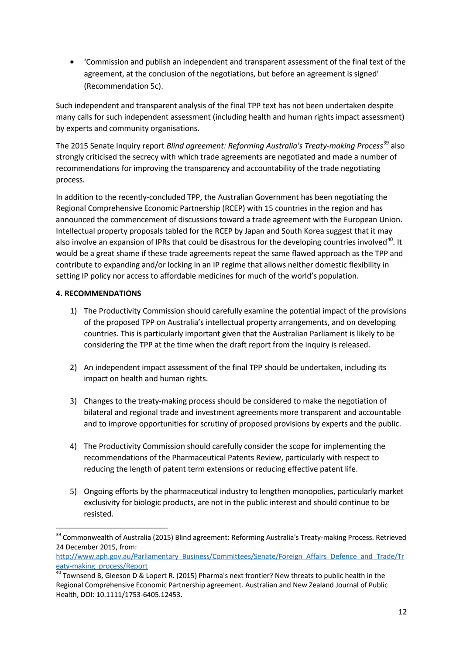• 'Commission and publish an independent and transparent assessment of the final text of the agreement, at the conclusion of the negotiations, but before an agreement is signed' (Recommendation 5c).

Such independent and transparent analysis of the final TPP text has not been undertaken despite many calls for such independent assessment (including health and human rights impact assessment) by experts and community organisations.

The 2015 Senate Inquiry report *Blind agreement: Reforming Australia's Treaty-making Process*[39](#page-10-2) also strongly criticised the secrecy with which trade agreements are negotiated and made a number of recommendations for improving the transparency and accountability of the trade negotiating process.

In addition to the recently-concluded TPP, the Australian Government has been negotiating the Regional Comprehensive Economic Partnership (RCEP) with 15 countries in the region and has announced the commencement of discussions toward a trade agreement with the European Union. Intellectual property proposals tabled for the RCEP by Japan and South Korea suggest that it may also involve an expansion of IPRs that could be disastrous for the developing countries involved $40$ . It would be a great shame if these trade agreements repeat the same flawed approach as the TPP and contribute to expanding and/or locking in an IP regime that allows neither domestic flexibility in setting IP policy nor access to affordable medicines for much of the world's population.

## **4. RECOMMENDATIONS**

- 1) The Productivity Commission should carefully examine the potential impact of the provisions of the proposed TPP on Australia's intellectual property arrangements, and on developing countries. This is particularly important given that the Australian Parliament is likely to be considering the TPP at the time when the draft report from the inquiry is released.
- 2) An independent impact assessment of the final TPP should be undertaken, including its impact on health and human rights.
- 3) Changes to the treaty-making process should be considered to make the negotiation of bilateral and regional trade and investment agreements more transparent and accountable and to improve opportunities for scrutiny of proposed provisions by experts and the public.
- 4) The Productivity Commission should carefully consider the scope for implementing the recommendations of the Pharmaceutical Patents Review, particularly with respect to reducing the length of patent term extensions or reducing effective patent life.
- 5) Ongoing efforts by the pharmaceutical industry to lengthen monopolies, particularly market exclusivity for biologic products, are not in the public interest and should continue to be resisted.

<span id="page-11-1"></span><sup>&</sup>lt;sup>39</sup> Commonwealth of Australia (2015) Blind agreement: Reforming Australia's Treaty-making Process. Retrieved 24 December 2015, from:

[http://www.aph.gov.au/Parliamentary\\_Business/Committees/Senate/Foreign\\_Affairs\\_Defence\\_and\\_Trade/Tr](http://www.aph.gov.au/Parliamentary_Business/Committees/Senate/Foreign_Affairs_Defence_and_Trade/Treaty-making_process/Report) eaty-making process/Report 40 Upert R. (2015) Pharma's next frontier? New threats to public health in the 40 Townsend B, Gleeson D & Lopert R. (2015) Pharma's next frontier? New threats to public health in the

<span id="page-11-0"></span>Regional Comprehensive Economic Partnership agreement. Australian and New Zealand Journal of Public Health, DOI: 10.1111/1753-6405.12453.